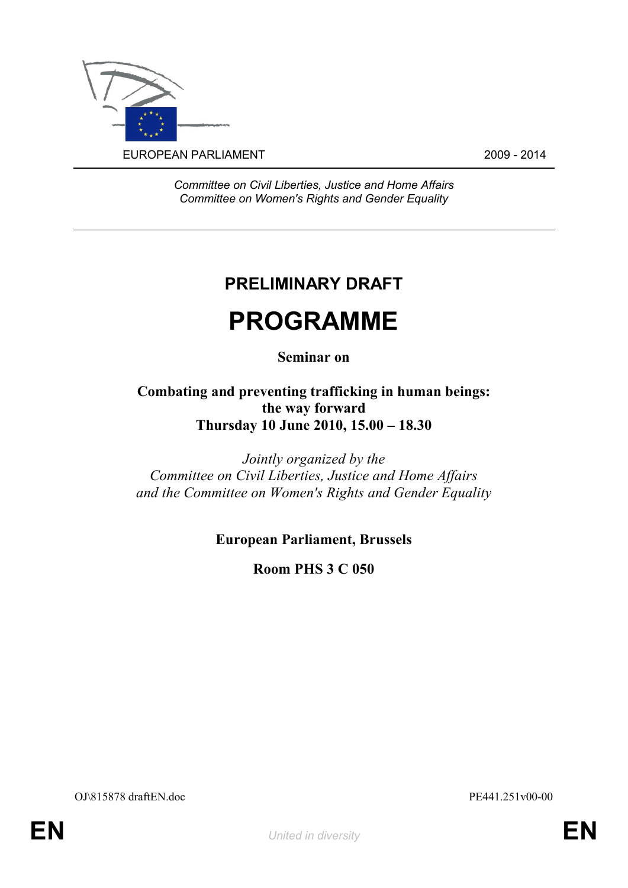

*Committee on Civil Liberties, Justice and Home Affairs Committee on Women's Rights and Gender Equality*

## **PRELIMINARY DRAFT**

# **PROGRAMME**

## **Seminar on**

### **Combating and preventing trafficking in human beings: the way forward Thursday 10 June 2010, 15.00 – 18.30**

*Jointly organized by the Committee on Civil Liberties, Justice and Home Affairs and the Committee on Women's Rights and Gender Equality*

## **European Parliament, Brussels**

**Room PHS 3 C 050**

OJ\815878 draftEN.doc PE441.251v00-00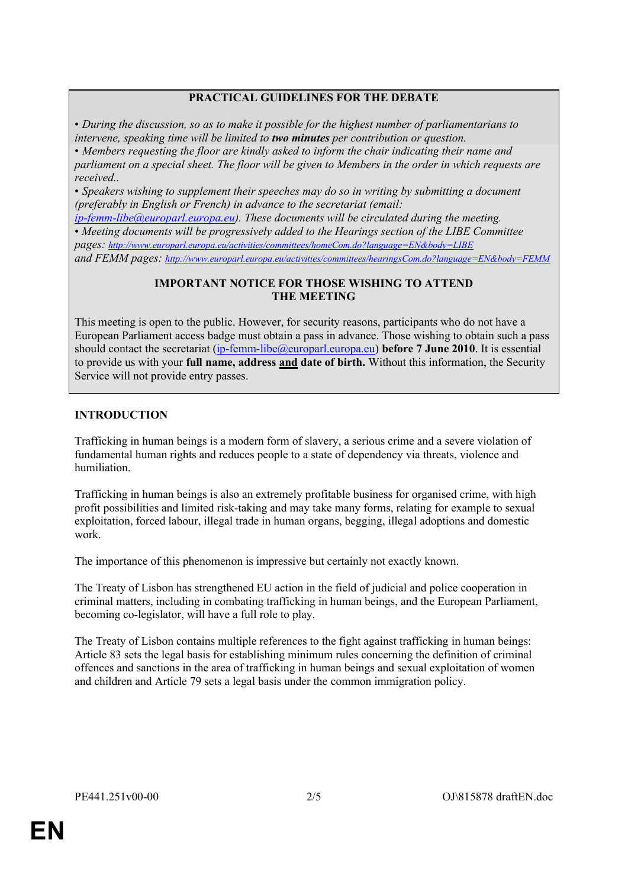#### **PRACTICAL GUIDELINES FOR THE DEBATE**

• *During the discussion, so as to make it possible for the highest number of parliamentarians to intervene, speaking time will be limited to two minutes per contribution or question.* • *Members requesting the floor are kindly asked to inform the chair indicating their name and* 

*parliament on a special sheet. The floor will be given to Members in the order in which requests are received..*

• *Speakers wishing to supplement their speeches may do so in writing by submitting a document (preferably in English or French) in advance to the secretariat (email:*

*[ip-femm-libe@europarl.europa.eu\)](mailto:ip-femm-libe@europarl.europa.eu). These documents will be circulated during the meeting.* • *Meeting documents will be progressively added to the Hearings section of the LIBE Committee pages: <http://www.europarl.europa.eu/activities/committees/homeCom.do?language=EN&body=LIBE> and FEMM pages: <http://www.europarl.europa.eu/activities/committees/hearingsCom.do?language=EN&body=FEMM>*

#### **IMPORTANT NOTICE FOR THOSE WISHING TO ATTEND THE MEETING**

This meeting is open to the public. However, for security reasons, participants who do not have a European Parliament access badge must obtain a pass in advance. Those wishing to obtain such a pass should contact the secretariat [\(ip-femm-libe@europarl.europa.eu\)](mailto:ip-femm-libe@europarl.europa.eu) **before 7 June 2010**. It is essential to provide us with your **full name, address and date of birth.** Without this information, the Security Service will not provide entry passes.

#### **INTRODUCTION**

Trafficking in human beings is a modern form of slavery, a serious crime and a severe violation of fundamental human rights and reduces people to a state of dependency via threats, violence and humiliation.

Trafficking in human beings is also an extremely profitable business for organised crime, with high profit possibilities and limited risk-taking and may take many forms, relating for example to sexual exploitation, forced labour, illegal trade in human organs, begging, illegal adoptions and domestic work.

The importance of this phenomenon is impressive but certainly not exactly known.

The Treaty of Lisbon has strengthened EU action in the field of judicial and police cooperation in criminal matters, including in combating trafficking in human beings, and the European Parliament, becoming co-legislator, will have a full role to play.

The Treaty of Lisbon contains multiple references to the fight against trafficking in human beings: Article 83 sets the legal basis for establishing minimum rules concerning the definition of criminal offences and sanctions in the area of trafficking in human beings and sexual exploitation of women and children and Article 79 sets a legal basis under the common immigration policy.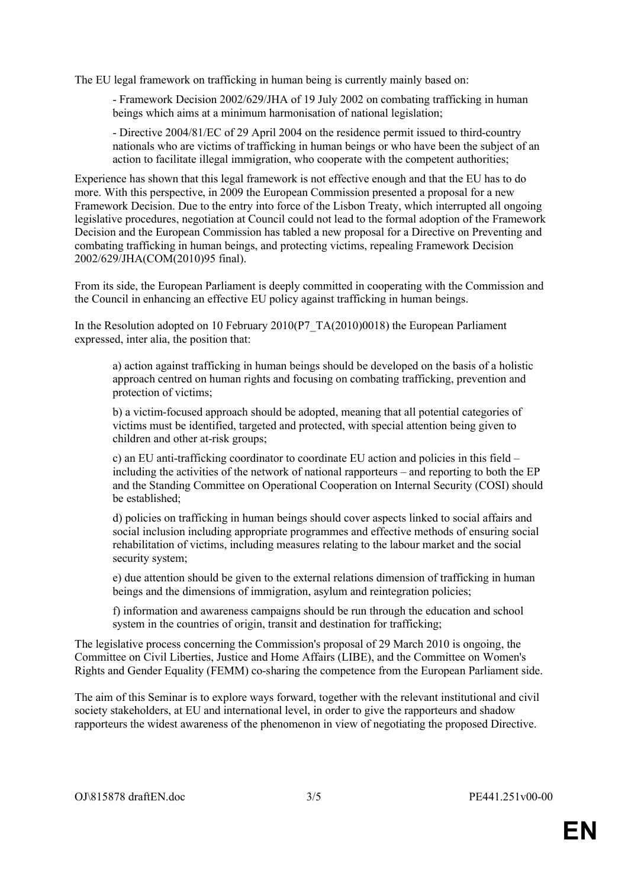The EU legal framework on trafficking in human being is currently mainly based on:

- Framework Decision 2002/629/JHA of 19 July 2002 on combating trafficking in human beings which aims at a minimum harmonisation of national legislation;

- Directive 2004/81/EC of 29 April 2004 on the residence permit issued to third-country nationals who are victims of trafficking in human beings or who have been the subject of an action to facilitate illegal immigration, who cooperate with the competent authorities;

Experience has shown that this legal framework is not effective enough and that the EU has to do more. With this perspective, in 2009 the European Commission presented a proposal for a new Framework Decision. Due to the entry into force of the Lisbon Treaty, which interrupted all ongoing legislative procedures, negotiation at Council could not lead to the formal adoption of the Framework Decision and the European Commission has tabled a new proposal for a Directive on Preventing and combating trafficking in human beings, and protecting victims, repealing Framework Decision 2002/629/JHA(COM(2010)95 final).

From its side, the European Parliament is deeply committed in cooperating with the Commission and the Council in enhancing an effective EU policy against trafficking in human beings.

In the Resolution adopted on 10 February 2010(P7\_TA(2010)0018) the European Parliament expressed, inter alia, the position that:

a) action against trafficking in human beings should be developed on the basis of a holistic approach centred on human rights and focusing on combating trafficking, prevention and protection of victims;

b) a victim-focused approach should be adopted, meaning that all potential categories of victims must be identified, targeted and protected, with special attention being given to children and other at-risk groups;

c) an EU anti-trafficking coordinator to coordinate EU action and policies in this field – including the activities of the network of national rapporteurs – and reporting to both the EP and the Standing Committee on Operational Cooperation on Internal Security (COSI) should be established;

d) policies on trafficking in human beings should cover aspects linked to social affairs and social inclusion including appropriate programmes and effective methods of ensuring social rehabilitation of victims, including measures relating to the labour market and the social security system;

e) due attention should be given to the external relations dimension of trafficking in human beings and the dimensions of immigration, asylum and reintegration policies;

f) information and awareness campaigns should be run through the education and school system in the countries of origin, transit and destination for trafficking;

The legislative process concerning the Commission's proposal of 29 March 2010 is ongoing, the Committee on Civil Liberties, Justice and Home Affairs (LIBE), and the Committee on Women's Rights and Gender Equality (FEMM) co-sharing the competence from the European Parliament side.

The aim of this Seminar is to explore ways forward, together with the relevant institutional and civil society stakeholders, at EU and international level, in order to give the rapporteurs and shadow rapporteurs the widest awareness of the phenomenon in view of negotiating the proposed Directive.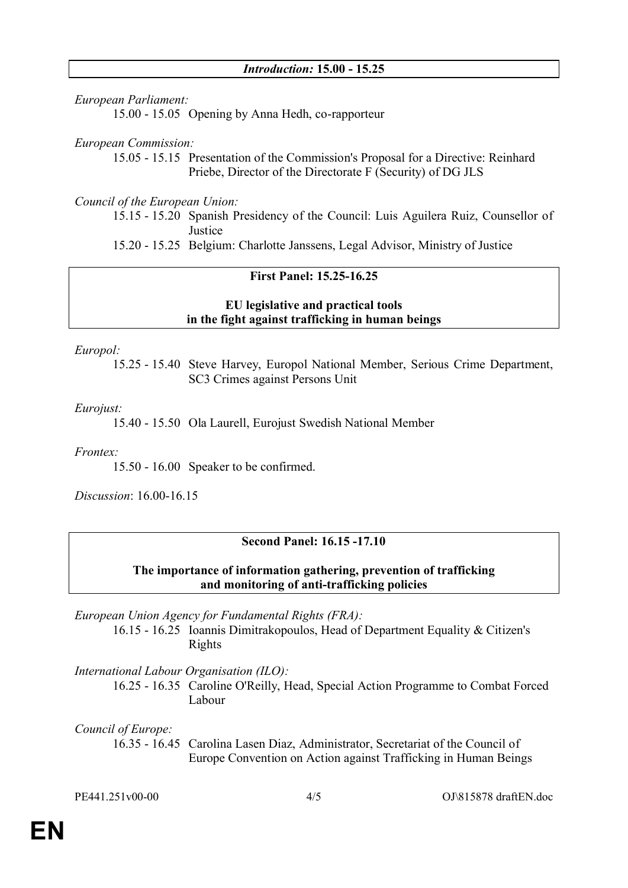*European Parliament:* 15.00 - 15.05 Opening by Anna Hedh, co-rapporteur

*European Commission:*

15.05 - 15.15 Presentation of the Commission's Proposal for a Directive: Reinhard Priebe, Director of the Directorate F (Security) of DG JLS

*Council of the European Union:*

15.15 - 15.20 Spanish Presidency of the Council: Luis Aguilera Ruiz, Counsellor of **Justice** 

15.20 - 15.25 Belgium: Charlotte Janssens, Legal Advisor, Ministry of Justice

#### **First Panel: 15.25-16.25**

#### **EU legislative and practical tools in the fight against trafficking in human beings**

*Europol:*

15.25 - 15.40 Steve Harvey, Europol National Member, Serious Crime Department, SC3 Crimes against Persons Unit

*Eurojust:*

15.40 - 15.50 Ola Laurell, Eurojust Swedish National Member

*Frontex:* 

15.50 - 16.00 Speaker to be confirmed.

*Discussion*: 16.00-16.15

#### **Second Panel: 16.15 -17.10**

#### **The importance of information gathering, prevention of trafficking and monitoring of anti-trafficking policies**

*European Union Agency for Fundamental Rights (FRA):* 

16.15 - 16.25 Ioannis Dimitrakopoulos, Head of Department Equality & Citizen's Rights

*International Labour Organisation (ILO):*

16.25 - 16.35 Caroline O'Reilly, Head, Special Action Programme to Combat Forced Labour

*Council of Europe:*

16.35 - 16.45 Carolina Lasen Diaz, Administrator, Secretariat of the Council of Europe Convention on Action against Trafficking in Human Beings